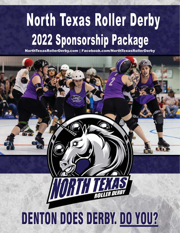# North Texas Roller Derby 2022 Sponsorship Package

NorthTexasRollerDerby.com | Facebook.com/NorthTexasRollerDerby

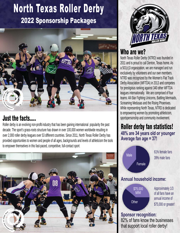### North Texas Roller Derby 2022 Sponsorship Packages



Roller derby is an evolving non-profit industry that has been gaining international popularity the past decade. The sport's grass-roots structure has drawn in over 100,000 women worldwide resulting in over 2,000 roller derby leagues over 53 different countries. Since 2011, North Texas Roller Derby has provided opportunities to women and people of all ages, backgrounds and levels of athleticism the tools to empower themselves in this fast-paced, competitive, full-contact sport.





#### Who are we?

North Texas Roller Derby (NTRD) was founded in 2011 and is proud to call Denton, Texas home. As a 501(c)3 organization, we are managed and run exclusively by volunteers and our own members. NTRD was recognized by the Women's Flat Track Derby Association (WFTDA) in 2013 and competes for prestigious ranking against 340 other WFTDA leagues internationally. We are comprised of four teams: All-Star Fighting Unicorns, Battling Mermaids, Screaming Medusas and the Rising Phoenixes. While representing North Texas, NTRD is dedicated to empowering women by promoting athleticism, **Just the facts.....** Superior of the sportspersonship and community involvement.

> Roller derby fan statistics! **48% are 34 years old or younger Average fan age = 37!**

Male Female 61% female fans 39% male fans

#### **Annual household income: Annual household**

\$75,000 MIN! **Other** 

Approximately 1/3 of all fans have an annual income of \$75,000 or greater!

### **Sponsor recognition:**

82% of fans know the businesses that support local roller derby!